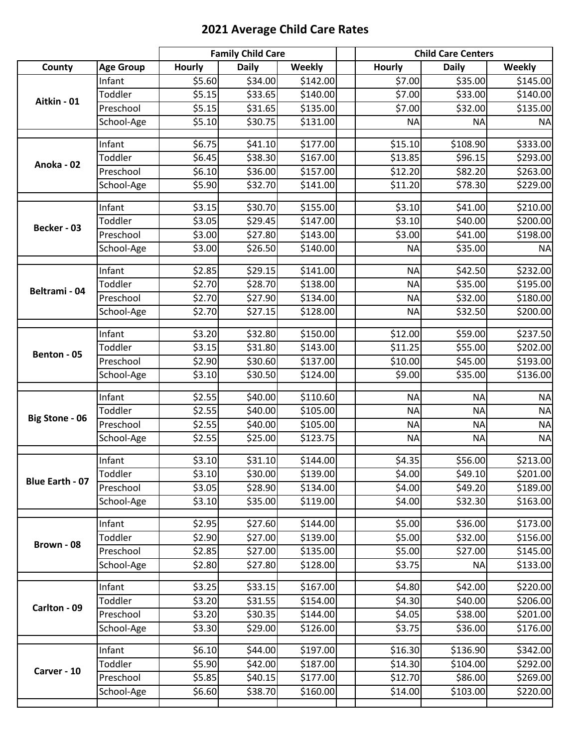## **2021 Average Child Care Rates**

|                        |                  |               | <b>Family Child Care</b> |          | <b>Child Care Centers</b> |              |           |
|------------------------|------------------|---------------|--------------------------|----------|---------------------------|--------------|-----------|
| County                 | <b>Age Group</b> | <b>Hourly</b> | <b>Daily</b>             | Weekly   | <b>Hourly</b>             | <b>Daily</b> | Weekly    |
|                        | Infant           | \$5.60        | \$34.00                  | \$142.00 | \$7.00                    | \$35.00      | \$145.00  |
| Aitkin - 01            | Toddler          | \$5.15        | \$33.65                  | \$140.00 | \$7.00                    | \$33.00      | \$140.00  |
|                        | Preschool        | \$5.15        | \$31.65                  | \$135.00 | \$7.00                    | \$32.00      | \$135.00  |
|                        | School-Age       | \$5.10        | \$30.75                  | \$131.00 | <b>NA</b>                 | <b>NA</b>    | <b>NA</b> |
|                        | Infant           | \$6.75        | \$41.10                  | \$177.00 | \$15.10                   | \$108.90     | \$333.00  |
|                        | Toddler          | \$6.45        | \$38.30                  | \$167.00 | \$13.85                   | \$96.15      | \$293.00  |
| Anoka - 02             | Preschool        | \$6.10        | \$36.00                  | \$157.00 | \$12.20                   | \$82.20      | \$263.00  |
|                        | School-Age       | \$5.90        | \$32.70                  | \$141.00 | \$11.20                   | \$78.30      | \$229.00  |
|                        | Infant           | \$3.15        | \$30.70                  | \$155.00 | \$3.10                    | \$41.00      | \$210.00  |
|                        | Toddler          | \$3.05        | \$29.45                  | \$147.00 | \$3.10                    | \$40.00      | \$200.00  |
| Becker - 03            | Preschool        | \$3.00        | \$27.80                  | \$143.00 | \$3.00                    | \$41.00      | \$198.00  |
|                        | School-Age       | \$3.00        | \$26.50                  | \$140.00 | <b>NA</b>                 | \$35.00      | <b>NA</b> |
|                        | Infant           | \$2.85        | \$29.15                  | \$141.00 | <b>NA</b>                 | \$42.50      | \$232.00  |
|                        | Toddler          | \$2.70        | \$28.70                  | \$138.00 | <b>NA</b>                 | \$35.00      | \$195.00  |
| Beltrami - 04          | Preschool        | \$2.70        | \$27.90                  | \$134.00 | <b>NA</b>                 | \$32.00      | \$180.00  |
|                        | School-Age       | \$2.70        | \$27.15                  | \$128.00 | <b>NA</b>                 | \$32.50      | \$200.00  |
|                        |                  |               |                          |          |                           |              |           |
|                        | Infant           | \$3.20        | \$32.80                  | \$150.00 | \$12.00                   | \$59.00      | \$237.50  |
| Benton - 05            | Toddler          | \$3.15        | \$31.80                  | \$143.00 | \$11.25                   | \$55.00      | \$202.00  |
|                        | Preschool        | \$2.90        | \$30.60                  | \$137.00 | \$10.00                   | \$45.00      | \$193.00  |
|                        | School-Age       | \$3.10        | \$30.50                  | \$124.00 | \$9.00                    | \$35.00      | \$136.00  |
|                        | Infant           | \$2.55        | \$40.00                  | \$110.60 | <b>NA</b>                 | <b>NA</b>    | <b>NA</b> |
|                        | Toddler          | \$2.55        | \$40.00                  | \$105.00 | <b>NA</b>                 | <b>NA</b>    | <b>NA</b> |
| <b>Big Stone - 06</b>  | Preschool        | \$2.55        | \$40.00                  | \$105.00 | <b>NA</b>                 | <b>NA</b>    | <b>NA</b> |
|                        | School-Age       | \$2.55        | \$25.00                  | \$123.75 | <b>NA</b>                 | <b>NA</b>    | <b>NA</b> |
|                        |                  |               |                          |          |                           |              |           |
|                        | Infant           | \$3.10        | \$31.10                  | \$144.00 | \$4.35                    | \$56.00      | \$213.00  |
| <b>Blue Earth - 07</b> | Toddler          | \$3.10        | \$30.00                  | \$139.00 | \$4.00                    | \$49.10      | \$201.00  |
|                        | Preschool        | \$3.05        | \$28.90                  | \$134.00 | \$4.00                    | \$49.20      | \$189.00  |
|                        | School-Age       | \$3.10        | \$35.00                  | \$119.00 | \$4.00                    | \$32.30      | \$163.00  |
|                        | Infant           | \$2.95        | \$27.60                  | \$144.00 | \$5.00                    | \$36.00      | \$173.00  |
| Brown - 08             | Toddler          | \$2.90        | \$27.00                  | \$139.00 | \$5.00                    | \$32.00      | \$156.00  |
|                        | Preschool        | \$2.85        | \$27.00                  | \$135.00 | \$5.00                    | \$27.00      | \$145.00  |
|                        | School-Age       | \$2.80        | \$27.80                  | \$128.00 | \$3.75                    | <b>NA</b>    | \$133.00  |
|                        | Infant           | \$3.25        | \$33.15                  | \$167.00 | \$4.80                    | \$42.00      | \$220.00  |
|                        | Toddler          | \$3.20        | \$31.55                  | \$154.00 | \$4.30                    | \$40.00      | \$206.00  |
| Carlton - 09           | Preschool        | \$3.20        | \$30.35                  | \$144.00 | \$4.05                    | \$38.00      | \$201.00  |
|                        | School-Age       | \$3.30        | \$29.00                  | \$126.00 | \$3.75                    | \$36.00      | \$176.00  |
|                        | Infant           | \$6.10        | \$44.00                  | \$197.00 | \$16.30                   | \$136.90     | \$342.00  |
|                        | Toddler          | \$5.90        | \$42.00                  | \$187.00 | \$14.30                   | \$104.00     | \$292.00  |
| Carver - 10            | Preschool        | \$5.85        | \$40.15                  | \$177.00 | \$12.70                   | \$86.00      | \$269.00  |
|                        | School-Age       | \$6.60        | \$38.70                  | \$160.00 | \$14.00                   | \$103.00     | \$220.00  |
|                        |                  |               |                          |          |                           |              |           |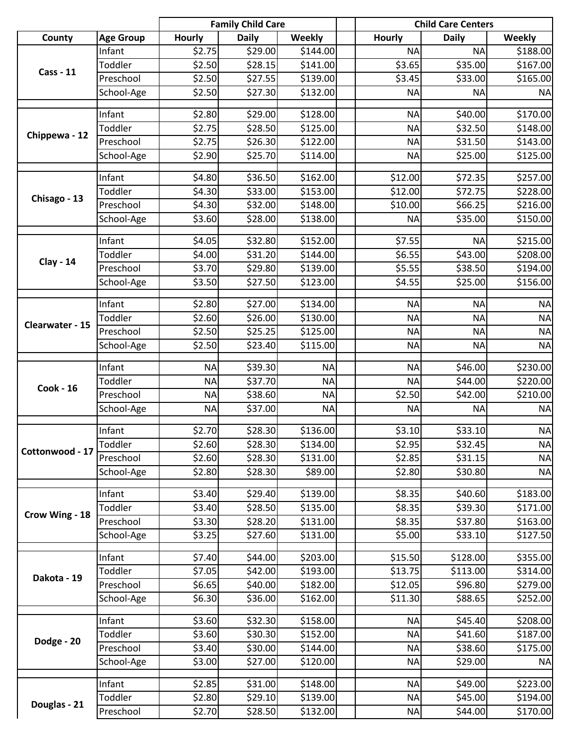|                  |                   |                  | <b>Family Child Care</b> |               |                        | <b>Child Care Centers</b> |               |
|------------------|-------------------|------------------|--------------------------|---------------|------------------------|---------------------------|---------------|
| County           | <b>Age Group</b>  | <b>Hourly</b>    | <b>Daily</b>             | <b>Weekly</b> | Hourly                 | <b>Daily</b>              | <b>Weekly</b> |
|                  | Infant            | \$2.75           | \$29.00                  | \$144.00      | <b>NA</b>              | <b>NA</b>                 | \$188.00      |
| <b>Cass - 11</b> | Toddler           | \$2.50           | \$28.15                  | \$141.00      | \$3.65                 | 535.00                    | \$167.00      |
|                  | Preschool         | \$2.50           | \$27.55                  | \$139.00      | \$3.45                 | \$33.00                   | \$165.00      |
|                  | School-Age        | \$2.50           | \$27.30                  | \$132.00      | <b>NA</b>              | <b>NA</b>                 | <b>NA</b>     |
|                  | Infant            | \$2.80           | \$29.00                  | \$128.00      | <b>NA</b>              | \$40.00                   | \$170.00      |
|                  | Toddler           | \$2.75           | \$28.50                  | \$125.00      | <b>NA</b>              | \$32.50                   | \$148.00      |
| Chippewa - 12    | Preschool         | \$2.75           | \$26.30                  | \$122.00      | <b>NA</b>              | \$31.50                   | \$143.00      |
|                  | School-Age        | \$2.90           | \$25.70                  | \$114.00      | <b>NA</b>              | \$25.00                   | \$125.00      |
|                  | Infant            | \$4.80           | \$36.50                  | \$162.00      | \$12.00                | \$72.35                   | \$257.00      |
|                  | Toddler           | \$4.30           | \$33.00                  | \$153.00      | \$12.00                | \$72.75                   | \$228.00      |
| Chisago - 13     | Preschool         | \$4.30           | \$32.00                  | \$148.00      | \$10.00                | \$66.25                   | \$216.00      |
|                  | School-Age        | \$3.60           | \$28.00                  | \$138.00      | <b>NA</b>              | \$35.00                   | \$150.00      |
|                  | Infant            | \$4.05           | \$32.80                  | \$152.00      | \$7.55                 | <b>NA</b>                 | \$215.00      |
|                  | Toddler           | \$4.00           | \$31.20                  | \$144.00      | \$6.55                 | \$43.00                   | \$208.00      |
| <b>Clay - 14</b> | Preschool         | \$3.70           | \$29.80                  | \$139.00      | \$5.55                 | \$38.50                   | \$194.00      |
|                  | School-Age        | \$3.50           | \$27.50                  | \$123.00      | \$4.55                 | \$25.00                   | \$156.00      |
|                  |                   |                  |                          |               |                        |                           |               |
|                  | Infant            | \$2.80           | \$27.00                  | \$134.00      | <b>NA</b>              | <b>NA</b>                 | <b>NA</b>     |
| Clearwater - 15  | Toddler           | \$2.60           | \$26.00                  | \$130.00      | <b>NA</b>              | <b>NA</b>                 | <b>NA</b>     |
|                  | Preschool         | \$2.50           | \$25.25                  | \$125.00      | <b>NA</b>              | <b>NA</b>                 | <b>NA</b>     |
|                  | School-Age        | \$2.50           | \$23.40                  | \$115.00      | <b>NA</b>              | <b>NA</b>                 | <b>NA</b>     |
|                  | Infant            | <b>NA</b>        | \$39.30                  | <b>NA</b>     | <b>NA</b>              | \$46.00                   | \$230.00      |
|                  | Toddler           | <b>NA</b>        | \$37.70                  | <b>NA</b>     | <b>NA</b>              | \$44.00                   | \$220.00      |
| <b>Cook - 16</b> | Preschool         | <b>NA</b>        | \$38.60                  | <b>NA</b>     | \$2.50                 | \$42.00                   | \$210.00      |
|                  | School-Age        | <b>NA</b>        | \$37.00                  | <b>NA</b>     | <b>NA</b>              | <b>NA</b>                 | <b>NA</b>     |
|                  | Infant            | \$2.70           | \$28.30                  | \$136.00      | \$3.10                 | \$33.10                   | <b>NA</b>     |
|                  | Toddler           | \$2.60           | \$28.30                  | \$134.00      | \$2.95                 | \$32.45                   | <b>NA</b>     |
| Cottonwood - 17  | Preschool         | \$2.60           | \$28.30                  | \$131.00      | \$2.85                 | \$31.15                   | <b>NA</b>     |
|                  | School-Age        | \$2.80           | \$28.30                  | \$89.00       | \$2.80                 | \$30.80                   | <b>NA</b>     |
|                  |                   |                  |                          |               |                        |                           |               |
|                  | Infant            | \$3.40           | \$29.40                  | \$139.00      | \$8.35                 | \$40.60                   | \$183.00      |
|                  | Toddler           | \$3.40           | \$28.50                  | \$135.00      | \$8.35                 | \$39.30                   | \$171.00      |
| Crow Wing - 18   | Preschool         | \$3.30           | \$28.20                  | \$131.00      | \$8.35                 | \$37.80                   | \$163.00      |
|                  | School-Age        | \$3.25           | \$27.60                  | \$131.00      | \$5.00                 | \$33.10                   | \$127.50      |
|                  | Infant            | \$7.40           | \$44.00                  | \$203.00      | \$15.50                | \$128.00                  | \$355.00      |
|                  | Toddler           | \$7.05           | \$42.00                  | \$193.00      | \$13.75                | \$113.00                  | \$314.00      |
| Dakota - 19      | Preschool         | \$6.65           | \$40.00                  | \$182.00      | \$12.05                | \$96.80                   | \$279.00      |
|                  | School-Age        | \$6.30           | \$36.00                  | \$162.00      | \$11.30                | \$88.65                   | \$252.00      |
|                  |                   |                  |                          |               |                        |                           |               |
|                  | Infant<br>Toddler | \$3.60<br>\$3.60 | \$32.30                  | \$158.00      | <b>NA</b><br><b>NA</b> | \$45.40<br>\$41.60        | \$208.00      |
| Dodge - 20       |                   |                  | \$30.30                  | \$152.00      |                        |                           | \$187.00      |
|                  | Preschool         | \$3.40           | \$30.00                  | \$144.00      | <b>NA</b>              | \$38.60                   | \$175.00      |
|                  | School-Age        | \$3.00           | \$27.00                  | \$120.00      | <b>NA</b>              | \$29.00                   | <b>NA</b>     |
|                  | Infant            | \$2.85           | \$31.00                  | \$148.00      | <b>NA</b>              | \$49.00                   | \$223.00      |
| Douglas - 21     | Toddler           | \$2.80           | \$29.10                  | \$139.00      | <b>NA</b>              | \$45.00                   | \$194.00      |
|                  | Preschool         | \$2.70           | \$28.50                  | \$132.00      | <b>NA</b>              | \$44.00                   | \$170.00      |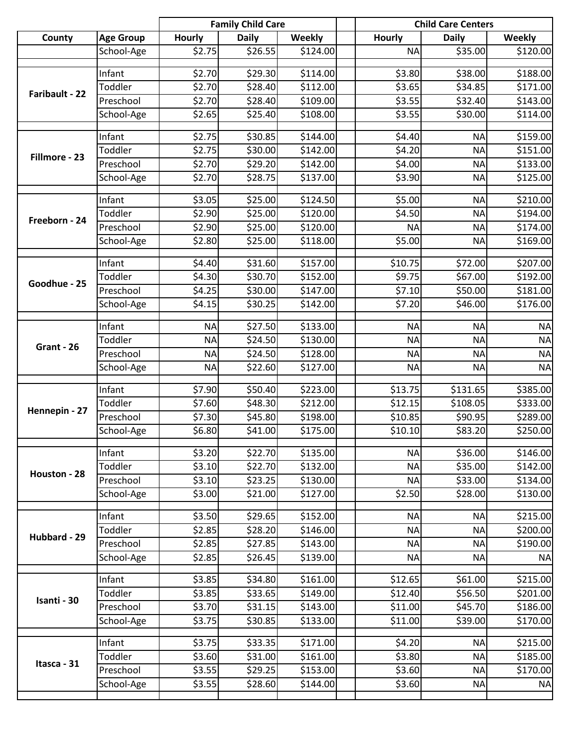|                |                  |                    | <b>Family Child Care</b> |          |               | <b>Child Care Centers</b> |               |  |
|----------------|------------------|--------------------|--------------------------|----------|---------------|---------------------------|---------------|--|
| County         | <b>Age Group</b> | <b>Hourly</b>      | <b>Daily</b>             | Weekly   | <b>Hourly</b> | <b>Daily</b>              | <b>Weekly</b> |  |
|                | School-Age       | \$2.75             | \$26.55                  | \$124.00 | <b>NA</b>     | \$35.00                   | \$120.00      |  |
|                | Infant           | \$2.70             | \$29.30                  | \$114.00 | \$3.80        | \$38.00                   | \$188.00      |  |
|                | Toddler          | \$2.70             | \$28.40                  | \$112.00 | \$3.65        | \$34.85                   | \$171.00      |  |
| Faribault - 22 | Preschool        | \$2.70             | \$28.40                  | \$109.00 | \$3.55        | \$32.40                   | \$143.00      |  |
|                | School-Age       | \$2.65             | \$25.40                  | \$108.00 | \$3.55        | \$30.00                   | \$114.00      |  |
|                |                  |                    |                          |          |               |                           |               |  |
|                | Infant           | \$2.75             | \$30.85                  | \$144.00 | \$4.40        | <b>NA</b>                 | \$159.00      |  |
| Fillmore - 23  | Toddler          | \$2.75             | \$30.00                  | \$142.00 | \$4.20        | <b>NA</b>                 | \$151.00      |  |
|                | Preschool        | \$2.70             | \$29.20                  | \$142.00 | \$4.00        | <b>NA</b>                 | \$133.00      |  |
|                | School-Age       | \$2.70             | \$28.75                  | \$137.00 | \$3.90        | <b>NA</b>                 | \$125.00      |  |
|                | Infant           | \$3.05             | \$25.00                  | \$124.50 | \$5.00        | <b>NA</b>                 | \$210.00      |  |
|                | Toddler          | \$2.90             | \$25.00                  | \$120.00 | \$4.50        | <b>NA</b>                 | \$194.00      |  |
| Freeborn - 24  | Preschool        | \$2.90             | \$25.00                  | \$120.00 | <b>NA</b>     | <b>NA</b>                 | \$174.00      |  |
|                | School-Age       | \$2.80             | \$25.00                  | \$118.00 | \$5.00        | <b>NA</b>                 | \$169.00      |  |
|                |                  |                    |                          |          |               |                           |               |  |
|                | Infant           | \$4.40             | \$31.60                  | \$157.00 | \$10.75       | \$72.00                   | \$207.00      |  |
| Goodhue - 25   | Toddler          | \$4.30             | \$30.70                  | \$152.00 | \$9.75        | \$67.00                   | \$192.00      |  |
|                | Preschool        | \$4.25             | \$30.00                  | \$147.00 | \$7.10        | \$50.00                   | \$181.00      |  |
|                | School-Age       | \$4.15             | \$30.25                  | \$142.00 | \$7.20        | \$46.00                   | \$176.00      |  |
|                | Infant           | <b>NA</b>          | \$27.50                  | \$133.00 | <b>NA</b>     | <b>NA</b>                 | <b>NA</b>     |  |
|                | Toddler          | <b>NA</b>          | \$24.50                  | \$130.00 | <b>NA</b>     | <b>NA</b>                 | <b>NA</b>     |  |
| Grant - 26     | Preschool        | <b>NA</b>          | \$24.50                  | \$128.00 | <b>NA</b>     | <b>NA</b>                 | <b>NA</b>     |  |
|                | School-Age       | <b>NA</b>          | \$22.60                  | \$127.00 | <b>NA</b>     | <b>NA</b>                 | <b>NA</b>     |  |
|                |                  |                    |                          |          |               |                           |               |  |
|                | Infant           | \$7.90             | \$50.40                  | \$223.00 | \$13.75       | \$131.65                  | \$385.00      |  |
| Hennepin - 27  | Toddler          | \$7.60             | \$48.30                  | \$212.00 | \$12.15       | \$108.05                  | \$333.00      |  |
|                | Preschool        | \$7.30             | \$45.80                  | \$198.00 | \$10.85       | \$90.95                   | \$289.00      |  |
|                | School-Age       | \$6.80             | \$41.00                  | \$175.00 | \$10.10       | \$83.20                   | \$250.00      |  |
|                | Infant           | \$3.20             | \$22.70                  | \$135.00 | <b>NA</b>     | \$36.00                   | \$146.00      |  |
|                | Toddler          | \$3.10             | \$22.70                  | \$132.00 | <b>NA</b>     | \$35.00                   | \$142.00      |  |
| Houston - 28   | Preschool        | \$3.10             | \$23.25                  | \$130.00 | <b>NA</b>     | \$33.00                   | \$134.00      |  |
|                | School-Age       | \$3.00             | \$21.00                  | \$127.00 | \$2.50        | \$28.00                   | \$130.00      |  |
|                |                  |                    |                          |          |               |                           |               |  |
|                | Infant           | $\overline{$}3.50$ | \$29.65                  | \$152.00 | <b>NA</b>     | <b>NA</b>                 | \$215.00      |  |
| Hubbard - 29   | Toddler          | \$2.85             | \$28.20                  | \$146.00 | <b>NA</b>     | <b>NA</b>                 | \$200.00      |  |
|                | Preschool        | \$2.85             | \$27.85                  | \$143.00 | <b>NA</b>     | <b>NA</b>                 | \$190.00      |  |
|                | School-Age       | \$2.85             | \$26.45                  | \$139.00 | <b>NA</b>     | <b>NA</b>                 | <b>NA</b>     |  |
|                | Infant           | \$3.85             | \$34.80                  | \$161.00 | \$12.65       | \$61.00                   | \$215.00      |  |
|                | Toddler          | \$3.85             | \$33.65                  | \$149.00 | \$12.40       | \$56.50                   | \$201.00      |  |
| Isanti - 30    | Preschool        | \$3.70             | \$31.15                  | \$143.00 | \$11.00       | \$45.70                   | \$186.00      |  |
|                | School-Age       | \$3.75             | \$30.85                  | \$133.00 | \$11.00       | \$39.00                   | \$170.00      |  |
|                |                  |                    |                          |          |               |                           |               |  |
|                | Infant           | \$3.75             | \$33.35                  | \$171.00 | \$4.20        | <b>NA</b>                 | \$215.00      |  |
| Itasca - 31    | Toddler          | \$3.60             | \$31.00                  | \$161.00 | \$3.80        | <b>NA</b>                 | \$185.00      |  |
|                | Preschool        | \$3.55             | \$29.25                  | \$153.00 | \$3.60        | <b>NA</b>                 | \$170.00      |  |
|                | School-Age       | \$3.55             | \$28.60                  | \$144.00 | \$3.60        | <b>NA</b>                 | <b>NA</b>     |  |
|                |                  |                    |                          |          |               |                           |               |  |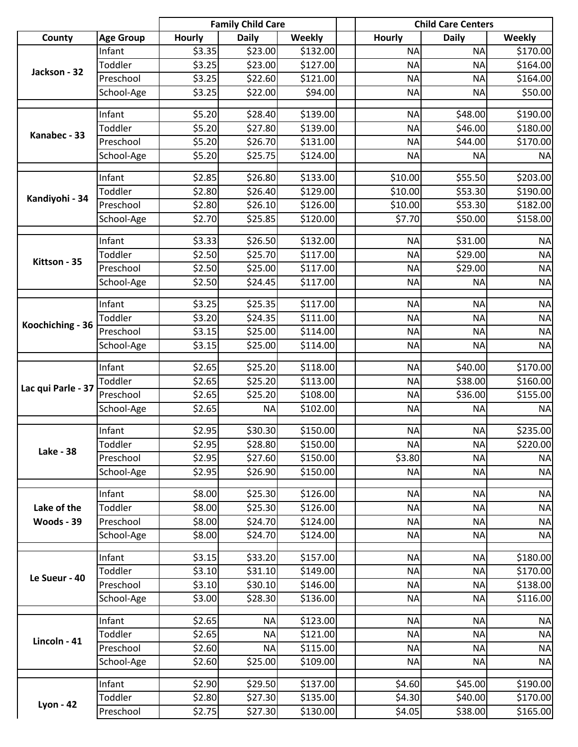|                    |                  |               | <b>Family Child Care</b> |               |               | <b>Child Care Centers</b> |           |
|--------------------|------------------|---------------|--------------------------|---------------|---------------|---------------------------|-----------|
| County             | <b>Age Group</b> | <b>Hourly</b> | <b>Daily</b>             | <b>Weekly</b> | <b>Hourly</b> | <b>Daily</b>              | Weekly    |
|                    | Infant           | \$3.35        | \$23.00                  | \$132.00      | <b>NA</b>     | <b>NA</b>                 | \$170.00  |
| Jackson - 32       | Toddler          | \$3.25        | \$23.00                  | \$127.00      | <b>NA</b>     | <b>NA</b>                 | \$164.00  |
|                    | Preschool        | \$3.25        | \$22.60                  | \$121.00      | <b>NA</b>     | <b>NA</b>                 | \$164.00  |
|                    | School-Age       | \$3.25        | \$22.00                  | \$94.00       | <b>NA</b>     | <b>NA</b>                 | \$50.00   |
|                    | Infant           | \$5.20        | \$28.40                  | \$139.00      | <b>NA</b>     | \$48.00                   | \$190.00  |
|                    | Toddler          | \$5.20        | \$27.80                  | \$139.00      | <b>NA</b>     | \$46.00                   | \$180.00  |
| Kanabec - 33       | Preschool        | \$5.20        | \$26.70                  | \$131.00      | <b>NA</b>     | \$44.00                   | \$170.00  |
|                    | School-Age       | \$5.20        | \$25.75                  | \$124.00      | <b>NA</b>     | <b>NA</b>                 | <b>NA</b> |
|                    | Infant           | \$2.85        | \$26.80                  | \$133.00      | \$10.00       | \$55.50                   | \$203.00  |
|                    | Toddler          | \$2.80        | \$26.40                  | \$129.00      | \$10.00       | \$53.30                   | \$190.00  |
| Kandiyohi - 34     | Preschool        | \$2.80        | \$26.10                  | \$126.00      | \$10.00       | \$53.30                   | \$182.00  |
|                    | School-Age       | \$2.70        | \$25.85                  | \$120.00      | \$7.70        | \$50.00                   | \$158.00  |
|                    |                  |               |                          |               |               |                           |           |
|                    | Infant           | \$3.33        | \$26.50                  | \$132.00      | <b>NA</b>     | \$31.00                   | <b>NA</b> |
| Kittson - 35       | Toddler          | \$2.50        | \$25.70                  | \$117.00      | <b>NA</b>     | \$29.00                   | <b>NA</b> |
|                    | Preschool        | \$2.50        | \$25.00                  | \$117.00      | <b>NA</b>     | \$29.00                   | <b>NA</b> |
|                    | School-Age       | \$2.50        | \$24.45                  | \$117.00      | <b>NA</b>     | <b>NA</b>                 | <b>NA</b> |
|                    | Infant           | \$3.25        | \$25.35                  | \$117.00      | <b>NA</b>     | <b>NA</b>                 | <b>NA</b> |
|                    | Toddler          | \$3.20        | \$24.35                  | \$111.00      | <b>NA</b>     | <b>NA</b>                 | <b>NA</b> |
| Koochiching - 36   | Preschool        | \$3.15        | \$25.00                  | \$114.00      | <b>NA</b>     | <b>NA</b>                 | <b>NA</b> |
|                    | School-Age       | \$3.15        | \$25.00                  | \$114.00      | <b>NA</b>     | <b>NA</b>                 | <b>NA</b> |
|                    | Infant           | \$2.65        | \$25.20                  | \$118.00      | <b>NA</b>     | \$40.00                   | \$170.00  |
|                    | Toddler          | \$2.65        | \$25.20                  | \$113.00      | <b>NA</b>     | \$38.00                   | \$160.00  |
| Lac qui Parle - 37 | Preschool        | \$2.65        | \$25.20                  | \$108.00      | <b>NA</b>     | \$36.00                   | \$155.00  |
|                    | School-Age       | \$2.65        | <b>NA</b>                | \$102.00      | <b>NA</b>     | <b>NA</b>                 | <b>NA</b> |
|                    |                  |               |                          |               |               |                           |           |
|                    | Infant           | \$2.95        | \$30.30                  | \$150.00      | <b>NA</b>     | <b>NA</b>                 | \$235.00  |
| <b>Lake - 38</b>   | Toddler          | \$2.95        | \$28.80                  | \$150.00      | NAI           | <b>NA</b>                 | \$220.00  |
|                    | Preschool        | \$2.95        | \$27.60                  | \$150.00      | \$3.80        | <b>NA</b>                 | <b>NA</b> |
|                    | School-Age       | \$2.95        | \$26.90                  | \$150.00      | <b>NA</b>     | <b>NA</b>                 | <b>NA</b> |
|                    | Infant           | \$8.00        | \$25.30                  | \$126.00      | <b>NA</b>     | <b>NA</b>                 | <b>NA</b> |
| Lake of the        | Toddler          | \$8.00        | \$25.30                  | \$126.00      | <b>NA</b>     | <b>NA</b>                 | <b>NA</b> |
| Woods - 39         | Preschool        | \$8.00        | \$24.70                  | \$124.00      | <b>NA</b>     | <b>NA</b>                 | <b>NA</b> |
|                    | School-Age       | \$8.00        | \$24.70                  | \$124.00      | <b>NA</b>     | <b>NA</b>                 | <b>NA</b> |
|                    | Infant           | \$3.15        | \$33.20                  | \$157.00      | <b>NA</b>     | <b>NA</b>                 | \$180.00  |
|                    | Toddler          | \$3.10        | \$31.10                  | \$149.00      | <b>NA</b>     | <b>NA</b>                 | \$170.00  |
| Le Sueur - 40      | Preschool        | \$3.10        | \$30.10                  | \$146.00      | <b>NA</b>     | <b>NA</b>                 | \$138.00  |
|                    | School-Age       | \$3.00        | \$28.30                  | \$136.00      | <b>NA</b>     | <b>NA</b>                 | \$116.00  |
|                    |                  |               |                          |               |               |                           |           |
|                    | Infant           | \$2.65        | <b>NA</b>                | \$123.00      | <b>NA</b>     | <b>NA</b>                 | <b>NA</b> |
| Lincoln - 41       | Toddler          | \$2.65        | <b>NA</b>                | \$121.00      | <b>NA</b>     | <b>NA</b>                 | <b>NA</b> |
|                    | Preschool        | \$2.60        | <b>NA</b>                | \$115.00      | <b>NA</b>     | <b>NA</b>                 | <b>NA</b> |
|                    | School-Age       | \$2.60        | \$25.00                  | \$109.00      | <b>NA</b>     | <b>NA</b>                 | <b>NA</b> |
|                    | Infant           | \$2.90        | \$29.50                  | \$137.00      | \$4.60        | \$45.00                   | \$190.00  |
|                    | Toddler          | \$2.80        | \$27.30                  | \$135.00      | \$4.30        | \$40.00                   | \$170.00  |
| <b>Lyon - 42</b>   | Preschool        | \$2.75        | \$27.30                  | \$130.00      | \$4.05        | \$38.00                   | \$165.00  |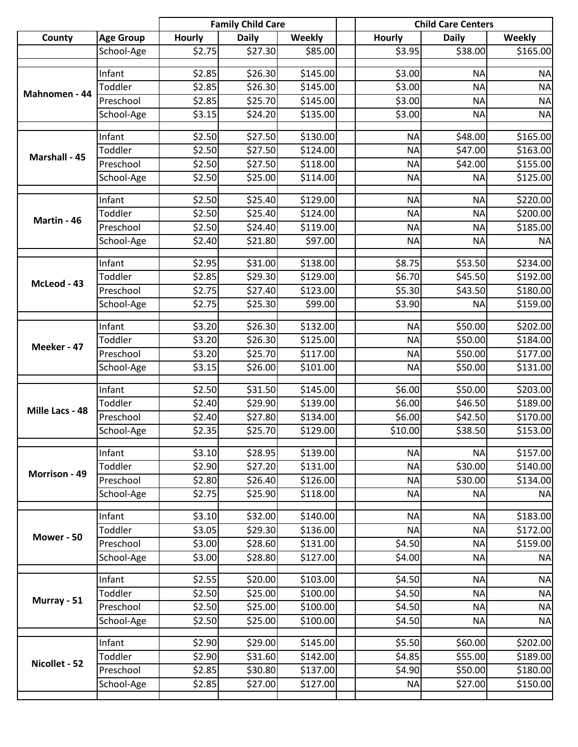|                 |                  |                    | <b>Family Child Care</b> |               |               | <b>Child Care Centers</b> |               |
|-----------------|------------------|--------------------|--------------------------|---------------|---------------|---------------------------|---------------|
| County          | <b>Age Group</b> | <b>Hourly</b>      | <b>Daily</b>             | <b>Weekly</b> | <b>Hourly</b> | <b>Daily</b>              | <b>Weekly</b> |
|                 | School-Age       | \$2.75             | \$27.30                  | \$85.00       | \$3.95        | \$38.00                   | \$165.00      |
|                 | Infant           | \$2.85             | \$26.30                  | \$145.00      | \$3.00        | <b>NA</b>                 | <b>NA</b>     |
|                 | Toddler          | \$2.85             | \$26.30                  | \$145.00      | \$3.00        | <b>NA</b>                 | <b>NA</b>     |
| Mahnomen - 44   | Preschool        | \$2.85             | \$25.70                  | \$145.00      | \$3.00        | <b>NA</b>                 | <b>NA</b>     |
|                 | School-Age       | \$3.15             | \$24.20                  | \$135.00      | \$3.00        | <b>NA</b>                 | <b>NA</b>     |
|                 |                  |                    |                          |               |               |                           |               |
|                 | Infant           | \$2.50             | \$27.50                  | \$130.00      | <b>NA</b>     | \$48.00                   | \$165.00      |
| Marshall - 45   | Toddler          | \$2.50             | \$27.50                  | \$124.00      | <b>NA</b>     | \$47.00                   | \$163.00      |
|                 | Preschool        | \$2.50             | \$27.50                  | \$118.00      | <b>NA</b>     | \$42.00                   | \$155.00      |
|                 | School-Age       | \$2.50             | \$25.00                  | \$114.00      | <b>NA</b>     | <b>NA</b>                 | \$125.00      |
|                 | Infant           | \$2.50             | \$25.40                  | \$129.00      | <b>NA</b>     | <b>NA</b>                 | \$220.00      |
|                 | Toddler          | \$2.50             | \$25.40                  | \$124.00      | <b>NA</b>     | <b>NA</b>                 | \$200.00      |
| Martin - 46     | Preschool        | \$2.50             | \$24.40                  | \$119.00      | <b>NA</b>     | <b>NA</b>                 | \$185.00      |
|                 | School-Age       | \$2.40             | \$21.80                  | \$97.00       | <b>NA</b>     | <b>NA</b>                 | <b>NA</b>     |
|                 |                  |                    |                          |               |               |                           |               |
|                 | Infant           | \$2.95             | \$31.00                  | \$138.00      | \$8.75        | \$53.50                   | \$234.00      |
| McLeod - 43     | Toddler          | \$2.85             | \$29.30                  | \$129.00      | \$6.70        | \$45.50                   | \$192.00      |
|                 | Preschool        | \$2.75             | \$27.40                  | \$123.00      | \$5.30        | \$43.50                   | \$180.00      |
|                 | School-Age       | \$2.75             | \$25.30                  | \$99.00       | \$3.90        | <b>NA</b>                 | \$159.00      |
|                 | Infant           | \$3.20             | \$26.30                  | \$132.00      | <b>NA</b>     | \$50.00                   | \$202.00      |
|                 | Toddler          | \$3.20             | \$26.30                  | \$125.00      | <b>NA</b>     | \$50.00                   | \$184.00      |
| Meeker - 47     | Preschool        | \$3.20             | \$25.70                  | \$117.00      | <b>NA</b>     | \$50.00                   | \$177.00      |
|                 | School-Age       | \$3.15             | \$26.00                  | \$101.00      | <b>NA</b>     | \$50.00                   | \$131.00      |
|                 |                  |                    |                          |               |               |                           |               |
|                 | Infant           | \$2.50             | \$31.50                  | \$145.00      | \$6.00        | \$50.00                   | \$203.00      |
| Mille Lacs - 48 | Toddler          | \$2.40             | \$29.90                  | \$139.00      | \$6.00        | \$46.50                   | \$189.00      |
|                 | Preschool        | \$2.40             | \$27.80                  | \$134.00      | \$6.00        | \$42.50                   | \$170.00      |
|                 | School-Age       | \$2.35             | \$25.70                  | \$129.00      | \$10.00       | \$38.50                   | \$153.00      |
|                 | Infant           | $\overline{$}3.10$ | \$28.95                  | \$139.00      | <b>NA</b>     | <b>NA</b>                 | \$157.00      |
|                 | Toddler          | \$2.90             | \$27.20                  | \$131.00      | <b>NA</b>     | \$30.00                   | \$140.00      |
| Morrison - 49   | Preschool        | \$2.80             | \$26.40                  | \$126.00      | <b>NA</b>     | \$30.00                   | \$134.00      |
|                 | School-Age       | \$2.75             | \$25.90                  | \$118.00      | <b>NA</b>     | <b>NA</b>                 | <b>NA</b>     |
|                 |                  |                    |                          |               |               |                           |               |
|                 | Infant           | \$3.10             | \$32.00                  | \$140.00      | <b>NA</b>     | <b>NA</b>                 | \$183.00      |
| Mower - 50      | Toddler          | \$3.05             | \$29.30                  | \$136.00      | <b>NA</b>     | <b>NA</b>                 | \$172.00      |
|                 | Preschool        | \$3.00             | \$28.60                  | \$131.00      | \$4.50        | <b>NA</b>                 | \$159.00      |
|                 | School-Age       | \$3.00             | \$28.80                  | \$127.00      | \$4.00        | <b>NA</b>                 | <b>NA</b>     |
|                 | Infant           | \$2.55             | \$20.00                  | \$103.00      | \$4.50        | <b>NA</b>                 | <b>NA</b>     |
|                 | Toddler          | \$2.50             | \$25.00                  | \$100.00]     | \$4.50        | <b>NA</b>                 | <b>NA</b>     |
| Murray - 51     | Preschool        | \$2.50             | \$25.00                  | \$100.00      | \$4.50        | <b>NA</b>                 | <b>NA</b>     |
|                 | School-Age       | \$2.50             | \$25.00                  | \$100.00      | \$4.50        | <b>NA</b>                 | <b>NA</b>     |
|                 |                  |                    |                          |               |               |                           |               |
|                 | Infant           | \$2.90             | \$29.00                  | \$145.00      | \$5.50        | \$60.00                   | \$202.00      |
| Nicollet - 52   | Toddler          | \$2.90             | \$31.60                  | \$142.00      | \$4.85        | \$55.00                   | \$189.00      |
|                 | Preschool        | \$2.85             | \$30.80                  | \$137.00      | \$4.90        | \$50.00                   | \$180.00      |
|                 | School-Age       | \$2.85             | \$27.00                  | \$127.00      | <b>NA</b>     | \$27.00                   | \$150.00      |
|                 |                  |                    |                          |               |               |                           |               |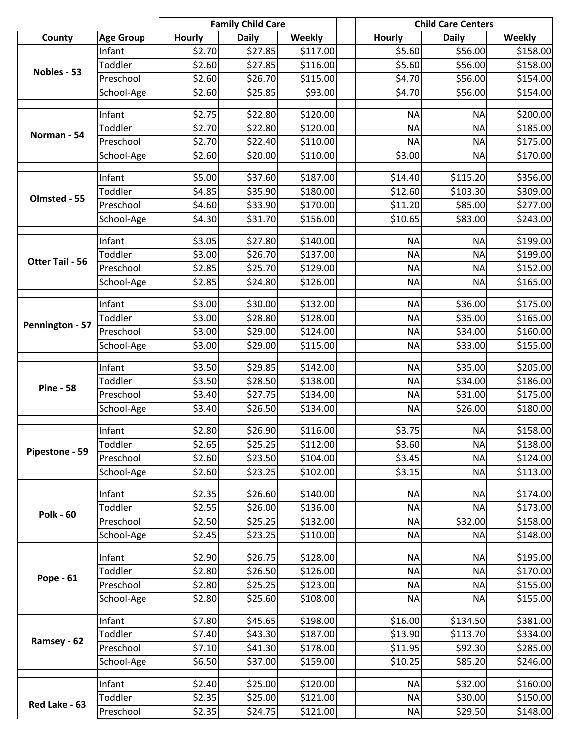|                        |                   |                  | <b>Family Child Care</b> |                      |                    | <b>Child Care Centers</b> |                      |
|------------------------|-------------------|------------------|--------------------------|----------------------|--------------------|---------------------------|----------------------|
| County                 | <b>Age Group</b>  | <b>Hourly</b>    | <b>Daily</b>             | <b>Weekly</b>        | <b>Hourly</b>      | <b>Daily</b>              | Weekly               |
|                        | Infant            | \$2.70           | \$27.85                  | \$117.00             | \$5.60             | \$56.00                   | \$158.00             |
| Nobles - 53            | Toddler           | \$2.60           | \$27.85                  | \$116.00             | \$5.60             | \$56.00                   | \$158.00             |
|                        | Preschool         | \$2.60           | \$26.70                  | \$115.00             | \$4.70             | \$56.00                   | \$154.00             |
|                        | School-Age        | \$2.60           | \$25.85                  | \$93.00              | \$4.70             | \$56.00                   | \$154.00             |
|                        | Infant            | \$2.75           | \$22.80                  | \$120.00             | <b>NA</b>          | <b>NA</b>                 | \$200.00             |
|                        | Toddler           | \$2.70           | \$22.80                  | \$120.00             | <b>NA</b>          | <b>NA</b>                 | \$185.00             |
| Norman - 54            | Preschool         | \$2.70           | \$22.40                  | \$110.00             | <b>NA</b>          | <b>NA</b>                 | \$175.00             |
|                        | School-Age        | \$2.60           | \$20.00                  | \$110.00             | \$3.00             | <b>NA</b>                 | \$170.00             |
|                        | Infant            | \$5.00           | \$37.60                  | \$187.00             | \$14.40            | $\overline{$}3115.20$     | \$356.00             |
|                        | Toddler           | \$4.85           | \$35.90                  | \$180.00             | \$12.60            | \$103.30                  | \$309.00             |
| Olmsted - 55           | Preschool         | \$4.60           | \$33.90                  | \$170.00             | \$11.20            | \$85.00                   | \$277.00             |
|                        | School-Age        | \$4.30           | \$31.70                  | \$156.00             | \$10.65            | \$83.00                   | \$243.00             |
|                        | Infant            | \$3.05           | \$27.80                  | \$140.00             | <b>NA</b>          | <b>NA</b>                 | \$199.00             |
|                        | Toddler           | \$3.00           | \$26.70                  | \$137.00             | <b>NA</b>          | <b>NA</b>                 | \$199.00             |
| <b>Otter Tail - 56</b> | Preschool         | \$2.85           | \$25.70                  | \$129.00             | <b>NA</b>          | <b>NA</b>                 | \$152.00             |
|                        | School-Age        | \$2.85           | \$24.80                  | \$126.00             | <b>NA</b>          | <b>NA</b>                 | \$165.00             |
|                        | Infant            | \$3.00           | \$30.00                  | \$132.00             | <b>NA</b>          | \$36.00                   | \$175.00             |
|                        | Toddler           | \$3.00           | \$28.80                  | \$128.00             | <b>NA</b>          | \$35.00                   | \$165.00             |
| Pennington - 57        | Preschool         | \$3.00           | \$29.00                  | \$124.00             | <b>NA</b>          | \$34.00                   | \$160.00             |
|                        | School-Age        | \$3.00           | \$29.00                  | \$115.00             | <b>NA</b>          | \$33.00                   | \$155.00             |
|                        |                   |                  |                          |                      |                    |                           |                      |
|                        | Infant            | \$3.50           | \$29.85                  | \$142.00             | <b>NA</b>          | \$35.00                   | \$205.00             |
| <b>Pine - 58</b>       | Toddler           | \$3.50           | \$28.50                  | \$138.00             | <b>NA</b>          | \$34.00                   | \$186.00             |
|                        | Preschool         | \$3.40           | \$27.75                  | \$134.00             | <b>NA</b>          | \$31.00                   | \$175.00             |
|                        | School-Age        | \$3.40           | \$26.50                  | \$134.00             | <b>NA</b>          | \$26.00                   | \$180.00             |
|                        | Infant            | \$2.80           | \$26.90                  | \$116.00             | \$3.75             | <b>NA</b>                 | \$158.00             |
|                        | Toddler           | \$2.65           | \$25.25                  | \$112.00             | \$3.60             | <b>NA</b>                 | \$138.00             |
| Pipestone - 59         | Preschool         | \$2.60           | \$23.50                  | \$104.00             | \$3.45             | <b>NA</b>                 | \$124.00             |
|                        | School-Age        | \$2.60           | \$23.25                  | \$102.00             | \$3.15             | <b>NA</b>                 | \$113.00             |
|                        | Infant            | \$2.35           | \$26.60                  | \$140.00             | <b>NA</b>          | <b>NA</b>                 | \$174.00             |
|                        | Toddler           | \$2.55           | \$26.00                  | \$136.00             | <b>NA</b>          | <b>NA</b>                 | \$173.00             |
| <b>Polk - 60</b>       | Preschool         | \$2.50           | \$25.25                  | \$132.00             | <b>NA</b>          | \$32.00                   | \$158.00             |
|                        | School-Age        | \$2.45           | \$23.25                  | \$110.00             | <b>NA</b>          | <b>NA</b>                 | \$148.00             |
|                        | Infant            | \$2.90           | \$26.75                  | \$128.00             | <b>NA</b>          | <b>NA</b>                 | \$195.00             |
|                        | Toddler           | \$2.80           | \$26.50                  | \$126.00             | <b>NA</b>          | <b>NA</b>                 | \$170.00             |
| <b>Pope - 61</b>       | Preschool         | \$2.80           | \$25.25                  | \$123.00             | <b>NA</b>          | <b>NA</b>                 | \$155.00             |
|                        | School-Age        | \$2.80           | \$25.60                  | \$108.00             | <b>NA</b>          | <b>NA</b>                 | \$155.00             |
|                        |                   |                  |                          |                      |                    |                           |                      |
|                        | Infant<br>Toddler | \$7.80<br>\$7.40 | \$45.65<br>\$43.30       | \$198.00<br>\$187.00 | \$16.00<br>\$13.90 | \$134.50                  | \$381.00<br>\$334.00 |
| Ramsey - 62            | Preschool         | \$7.10           | \$41.30                  | \$178.00             | \$11.95            | \$113.70<br>\$92.30       | \$285.00             |
|                        |                   |                  |                          |                      |                    | \$85.20                   |                      |
|                        | School-Age        | \$6.50           | \$37.00                  | \$159.00             | \$10.25            |                           | \$246.00             |
|                        | Infant            | \$2.40           | \$25.00                  | \$120.00             | <b>NA</b>          | \$32.00                   | \$160.00             |
| Red Lake - 63          | Toddler           | \$2.35           | \$25.00                  | \$121.00             | <b>NA</b>          | \$30.00                   | \$150.00             |
|                        | Preschool         | \$2.35           | \$24.75                  | \$121.00             | <b>NA</b>          | \$29.50                   | \$148.00             |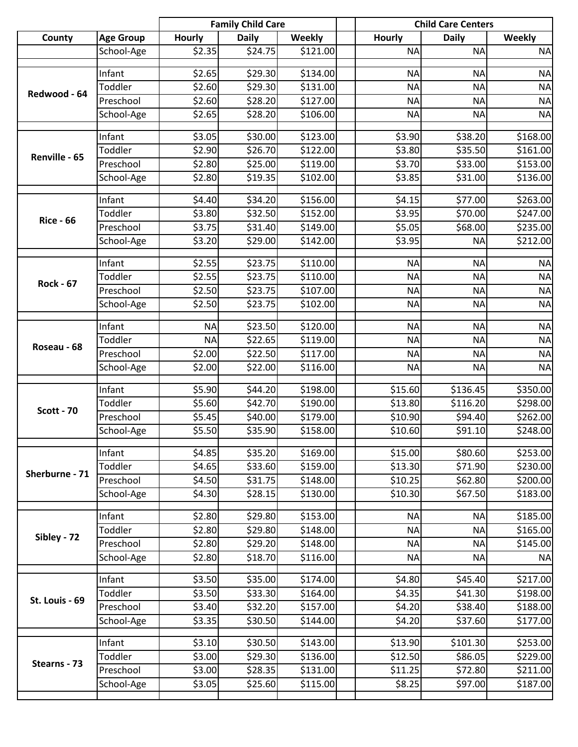|                   |                      |                  | <b>Family Child Care</b> |               | <b>Child Care Centers</b> |              |               |
|-------------------|----------------------|------------------|--------------------------|---------------|---------------------------|--------------|---------------|
| County            | <b>Age Group</b>     | <b>Hourly</b>    | <b>Daily</b>             | <b>Weekly</b> | <b>Hourly</b>             | <b>Daily</b> | <b>Weekly</b> |
|                   | School-Age           | \$2.35           | \$24.75                  | \$121.00      | <b>NA</b>                 | <b>NA</b>    | <b>NA</b>     |
|                   | Infant               | \$2.65           |                          | \$134.00      |                           |              | <b>NA</b>     |
|                   |                      |                  | \$29.30                  |               | <b>NA</b>                 | <b>NA</b>    |               |
| Redwood - 64      | Toddler<br>Preschool | \$2.60           | \$29.30                  | \$131.00      | <b>NA</b>                 | <b>NA</b>    | <b>NA</b>     |
|                   |                      | \$2.60<br>\$2.65 | \$28.20                  | \$127.00      | <b>NA</b>                 | <b>NA</b>    | <b>NA</b>     |
|                   | School-Age           |                  | \$28.20                  | \$106.00      | <b>NA</b>                 | <b>NA</b>    | <b>NA</b>     |
|                   | Infant               | \$3.05           | \$30.00                  | \$123.00      | \$3.90                    | \$38.20      | \$168.00      |
|                   | Toddler              | \$2.90           | \$26.70                  | \$122.00      | \$3.80                    | \$35.50      | \$161.00      |
| Renville - 65     | Preschool            | \$2.80           | \$25.00                  | \$119.00      | \$3.70                    | \$33.00      | \$153.00      |
|                   | School-Age           | \$2.80           | \$19.35                  | \$102.00      | \$3.85                    | \$31.00      | \$136.00      |
|                   |                      |                  |                          |               |                           |              |               |
|                   | Infant               | \$4.40           | \$34.20                  | \$156.00      | \$4.15                    | \$77.00      | \$263.00      |
| <b>Rice - 66</b>  | Toddler              | \$3.80           | \$32.50                  | \$152.00      | \$3.95                    | \$70.00      | \$247.00      |
|                   | Preschool            | \$3.75           | \$31.40                  | \$149.00      | \$5.05                    | \$68.00      | \$235.00      |
|                   | School-Age           | \$3.20           | \$29.00                  | \$142.00      | \$3.95                    | <b>NA</b>    | \$212.00      |
|                   | Infant               | \$2.55           | \$23.75                  | \$110.00      | <b>NA</b>                 | <b>NA</b>    | <b>NA</b>     |
|                   | Toddler              | \$2.55           | \$23.75                  | \$110.00      | <b>NA</b>                 | <b>NA</b>    | <b>NA</b>     |
| <b>Rock - 67</b>  | Preschool            | \$2.50           | \$23.75                  | \$107.00      | <b>NA</b>                 | <b>NA</b>    | <b>NA</b>     |
|                   | School-Age           | \$2.50           | \$23.75                  | \$102.00      | <b>NA</b>                 | <b>NA</b>    | <b>NA</b>     |
|                   |                      |                  |                          |               |                           |              |               |
|                   | Infant               | <b>NA</b>        | \$23.50                  | \$120.00      | <b>NA</b>                 | <b>NA</b>    | <b>NA</b>     |
| Roseau - 68       | Toddler              | <b>NA</b>        | \$22.65                  | \$119.00      | <b>NA</b>                 | <b>NA</b>    | <b>NA</b>     |
|                   | Preschool            | \$2.00           | \$22.50                  | \$117.00      | <b>NA</b>                 | <b>NA</b>    | <b>NA</b>     |
|                   | School-Age           | \$2.00           | \$22.00                  | \$116.00      | <b>NA</b>                 | <b>NA</b>    | <b>NA</b>     |
|                   | Infant               | \$5.90           | \$44.20                  | \$198.00      | \$15.60                   | \$136.45     | \$350.00      |
|                   | Toddler              | \$5.60           | \$42.70                  | \$190.00      | \$13.80                   | \$116.20     | \$298.00      |
| <b>Scott - 70</b> | Preschool            | \$5.45           | \$40.00                  | \$179.00      | \$10.90                   | \$94.40      | \$262.00      |
|                   | School-Age           | \$5.50           | \$35.90                  | \$158.00      | \$10.60                   | \$91.10      | \$248.00      |
|                   |                      |                  |                          |               |                           |              |               |
|                   | Infant               | \$4.85           | \$35.20                  | \$169.00      | \$15.00                   | \$80.60      | \$253.00      |
| Sherburne - 71    | Toddler              | \$4.65           | \$33.60                  | \$159.00      | \$13.30                   | \$71.90      | \$230.00      |
|                   | Preschool            | \$4.50           | \$31.75                  | \$148.00      | \$10.25                   | \$62.80      | \$200.00      |
|                   | School-Age           | \$4.30           | \$28.15                  | \$130.00      | \$10.30                   | \$67.50      | \$183.00      |
|                   | Infant               | \$2.80           | \$29.80                  | \$153.00      | <b>NA</b>                 | <b>NA</b>    | \$185.00      |
|                   | Toddler              | \$2.80           | \$29.80                  | \$148.00      | <b>NA</b>                 | <b>NA</b>    | \$165.00      |
| Sibley - 72       | Preschool            | \$2.80           | \$29.20                  | \$148.00      | <b>NA</b>                 | <b>NA</b>    | \$145.00      |
|                   | School-Age           | \$2.80           | \$18.70                  | \$116.00      | <b>NA</b>                 | <b>NA</b>    | <b>NA</b>     |
|                   |                      |                  |                          |               |                           |              |               |
|                   | Infant               | \$3.50           | \$35.00                  | \$174.00      | \$4.80                    | \$45.40      | \$217.00      |
| St. Louis - 69    | Toddler              | \$3.50           | \$33.30                  | \$164.00      | \$4.35                    | \$41.30      | \$198.00      |
|                   | Preschool            | \$3.40           | \$32.20                  | \$157.00      | \$4.20                    | \$38.40      | \$188.00      |
|                   | School-Age           | \$3.35           | \$30.50                  | \$144.00      | \$4.20                    | \$37.60      | \$177.00      |
|                   | Infant               | \$3.10           | \$30.50                  | \$143.00      | \$13.90                   | \$101.30     | \$253.00      |
|                   | Toddler              | \$3.00           | \$29.30                  | \$136.00      | \$12.50                   | \$86.05      | \$229.00      |
| Stearns - 73      | Preschool            | \$3.00           | \$28.35                  | \$131.00      | \$11.25                   | \$72.80      | \$211.00      |
|                   | School-Age           | \$3.05           | \$25.60                  | \$115.00      | \$8.25                    | \$97.00      | \$187.00      |
|                   |                      |                  |                          |               |                           |              |               |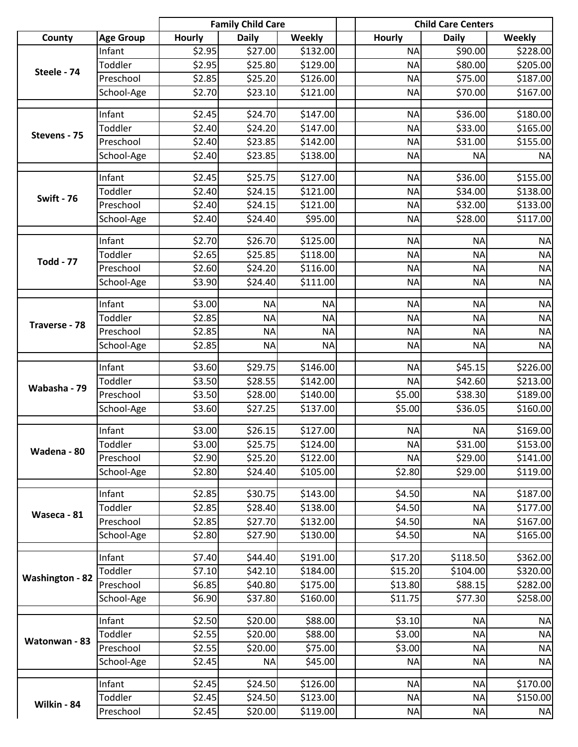|                        |                         |                    | <b>Family Child Care</b> |                    |                     | <b>Child Care Centers</b> |                        |
|------------------------|-------------------------|--------------------|--------------------------|--------------------|---------------------|---------------------------|------------------------|
| County                 | <b>Age Group</b>        | <b>Hourly</b>      | <b>Daily</b>             | <b>Weekly</b>      | <b>Hourly</b>       | <b>Daily</b>              | <b>Weekly</b>          |
|                        | Infant                  | \$2.95             | \$27.00                  | \$132.00           | <b>NA</b>           | \$90.00                   | \$228.00               |
|                        | Toddler                 | \$2.95             | \$25.80                  | \$129.00           | <b>NA</b>           | \$80.00                   | \$205.00               |
| Steele - 74            | Preschool               | \$2.85             | \$25.20                  | \$126.00           | <b>NA</b>           | \$75.00                   | \$187.00               |
|                        | School-Age              | \$2.70             | \$23.10                  | \$121.00           | <b>NA</b>           | \$70.00                   | \$167.00               |
|                        | Infant                  | \$2.45             | \$24.70                  | \$147.00           | <b>NA</b>           | \$36.00                   | \$180.00               |
|                        | Toddler                 | \$2.40             | \$24.20                  | \$147.00           | <b>NA</b>           | \$33.00                   | \$165.00               |
| Stevens - 75           | Preschool               | \$2.40             | \$23.85                  | \$142.00           | <b>NA</b>           | \$31.00                   | \$155.00               |
|                        | School-Age              | \$2.40             | \$23.85                  | \$138.00           | <b>NA</b>           | <b>NA</b>                 | <b>NA</b>              |
|                        | Infant                  | \$2.45             | \$25.75                  | \$127.00           | <b>NA</b>           | \$36.00                   | \$155.00               |
|                        | Toddler                 | \$2.40             | \$24.15                  | \$121.00           | <b>NA</b>           | \$34.00                   | \$138.00               |
| <b>Swift - 76</b>      | Preschool               | \$2.40             | \$24.15                  | \$121.00           | <b>NA</b>           | \$32.00                   | \$133.00               |
|                        | School-Age              | \$2.40             | \$24.40                  | \$95.00            | <b>NA</b>           | \$28.00                   | \$117.00               |
|                        | Infant                  | \$2.70             | \$26.70                  | \$125.00           | <b>NA</b>           | <b>NA</b>                 | <b>NA</b>              |
|                        | Toddler                 | \$2.65             | \$25.85                  | \$118.00           | <b>NA</b>           | <b>NA</b>                 | <b>NA</b>              |
| <b>Todd - 77</b>       | Preschool               | \$2.60             | \$24.20                  | \$116.00           | <b>NA</b>           | <b>NA</b>                 | <b>NA</b>              |
|                        | School-Age              | \$3.90             | \$24.40                  | \$111.00           | <b>NA</b>           | <b>NA</b>                 | <b>NA</b>              |
|                        | Infant                  | \$3.00             | <b>NA</b>                | <b>NA</b>          | <b>NA</b>           | <b>NA</b>                 | <b>NA</b>              |
|                        | Toddler                 | \$2.85             | <b>NA</b>                | <b>NA</b>          | <b>NA</b>           | <b>NA</b>                 | <b>NA</b>              |
| Traverse - 78          | Preschool               | \$2.85             | <b>NA</b>                | <b>NA</b>          | <b>NA</b>           | <b>NA</b>                 | <b>NA</b>              |
|                        | School-Age              | \$2.85             | <b>NA</b>                | <b>NA</b>          | <b>NA</b>           | <b>NA</b>                 | <b>NA</b>              |
|                        |                         |                    |                          |                    |                     |                           |                        |
|                        | Infant                  | \$3.60             | \$29.75                  | \$146.00           | <b>NA</b>           | \$45.15                   | \$226.00               |
| Wabasha - 79           | Toddler                 | $\overline{$}3.50$ | \$28.55                  | \$142.00           | <b>NA</b>           | \$42.60                   | \$213.00               |
|                        | Preschool               | \$3.50             | \$28.00                  | \$140.00           | \$5.00              | \$38.30                   | \$189.00               |
|                        | School-Age              | \$3.60             | \$27.25                  | \$137.00           | \$5.00              | \$36.05                   | \$160.00               |
|                        | Infant                  | \$3.00             | \$26.15                  | \$127.00           | <b>NA</b>           | <b>NA</b>                 | \$169.00               |
|                        | Toddler                 | \$3.00             | \$25.75                  | \$124.00           | NA)                 | \$31.00                   | \$153.00               |
| Wadena - 80            | Preschool               | \$2.90             | \$25.20                  | \$122.00           | <b>NA</b>           | \$29.00                   | \$141.00               |
|                        | School-Age              | \$2.80             | \$24.40                  | \$105.00           | \$2.80              | \$29.00                   | \$119.00               |
|                        | Infant                  | \$2.85             | \$30.75                  | \$143.00           | \$4.50              | <b>NA</b>                 | \$187.00               |
|                        | Toddler                 | \$2.85             | \$28.40                  | \$138.00           | \$4.50              | <b>NA</b>                 | \$177.00               |
| Waseca - 81            | Preschool               | \$2.85             | \$27.70                  | \$132.00           | \$4.50              | <b>NA</b>                 | \$167.00               |
|                        | School-Age              | \$2.80             | \$27.90                  | \$130.00           | \$4.50              | <b>NA</b>                 | \$165.00               |
|                        | Infant                  | \$7.40             | \$44.40                  | \$191.00           | \$17.20             | \$118.50                  | \$362.00               |
|                        | Toddler                 | \$7.10             | \$42.10                  | \$184.00           | \$15.20             | \$104.00                  | \$320.00               |
| <b>Washington - 82</b> | Preschool               | \$6.85             | \$40.80                  | \$175.00           | \$13.80             | \$88.15                   | \$282.00               |
|                        | School-Age              | \$6.90             | \$37.80                  | \$160.00           | \$11.75             | \$77.30                   | \$258.00               |
|                        |                         |                    |                          |                    |                     |                           |                        |
|                        | Infant                  | \$2.50             | \$20.00                  | \$88.00            | \$3.10              | <b>NA</b>                 | <b>NA</b>              |
| Watonwan - 83          | Toddler                 | \$2.55             | \$20.00                  | \$88.00            | \$3.00              | <b>NA</b>                 | <b>NA</b>              |
|                        | Preschool<br>School-Age | \$2.55<br>\$2.45   | \$20.00<br><b>NA</b>     | \$75.00<br>\$45.00 | \$3.00<br><b>NA</b> | <b>NA</b><br><b>NA</b>    | <b>NA</b><br><b>NA</b> |
|                        |                         |                    |                          |                    |                     |                           |                        |
|                        | Infant                  | \$2.45             | \$24.50                  | \$126.00           | <b>NA</b>           | <b>NA</b>                 | \$170.00               |
|                        | Toddler                 | \$2.45             | \$24.50                  | \$123.00           | <b>NA</b>           | <b>NA</b>                 | \$150.00               |
| Wilkin - 84            | Preschool               | \$2.45             | \$20.00                  | \$119.00           | <b>NA</b>           | <b>NA</b>                 | <b>NA</b>              |